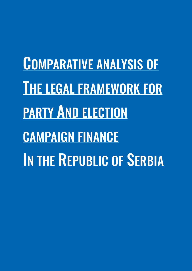COMPARATIVE ANALYSIS OF THE LEGAL FRAMEWORK FOR PARTY AND ELECTION CAMPAIGN FINANCE IN THE REPUBLIC OF SERBIA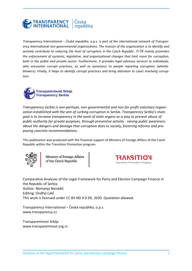

*Transparency International – Česká republika, o.p.s. is part of the international network of Transparency International non-governmental organizations. The mission of the organization is to identify and actively contribute to reducing the level of corruption in the Czech Republic. TI ČR mainly promotes the enforcement of systemic, legislative, and organizational changes that limit room for corruption, both in the public and private sector. Furthermore, it provides legal advisory services to individuals, who encounter corrupt practices, as well as assistance to people reporting corruption (whistleblowers). Finally, it helps to identify corrupt practices and bring attention to cases involving corruption.* 



*Transparency Serbia is non-partisan, non-governmental and non-for profit voluntary organization established with the aim of curbing corruption in Serbia. Transparency Serbia's main goal is to increase transparency in the work of state organs as a way to prevent abuse of public authority for private purposes, through preventive activity - raising public awareness about the dangers and damage that corruption does to society, fostering reforms and proposing concrete recommendations.*

This publication was produced with the financial support of Ministry of Foreign Affairs of the Czech Republic within the Transition Promotion program.



Ministry of Foreign Affairs of the Czech Republic



Comparative Analyses of the Legal Framework for Party and Election Campaign Finance in the Republic of Serbia Author: Nemanja Nenadić Editing: Ondřej Cakl This work is licensed under CC BY-ND 4.0 DE, 2020. Quotation allowed.

Transparency International – Česká republika, o.p.s. www.transparency.cz

Transparentnost Srbija www.transparentnost.org.rs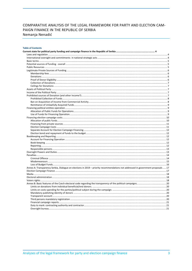#### COMPARATIVE ANALYSIS OF THE LEGAL FRAMEWORK FOR PARTY AND ELECTION CAM-PAIGN FINANCE IN THE REPUBLIC OF SERBIA Nemanja Nenadić

#### **Table of Contents**

| Annex A: Transparency Serbia, Dialogue on elections in 2019 – priority recommendations not addressed in government proposals  17 |  |
|----------------------------------------------------------------------------------------------------------------------------------|--|
|                                                                                                                                  |  |
|                                                                                                                                  |  |
|                                                                                                                                  |  |
|                                                                                                                                  |  |
|                                                                                                                                  |  |
|                                                                                                                                  |  |
|                                                                                                                                  |  |
|                                                                                                                                  |  |
|                                                                                                                                  |  |
|                                                                                                                                  |  |
|                                                                                                                                  |  |
|                                                                                                                                  |  |
|                                                                                                                                  |  |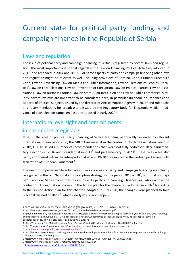# Current state for political party funding and campaign finance in the Republic of Serbia

### Laws and regulation

The issue of political party and campaign financing in Serbia is regulated by several laws and regulation. The most important one in that regards is the Law on Financing Political Activities, adopted in 2011, and amended in 2014 and 2019<sup>1</sup>. For some aspects of party and campaign financing other laws and regulation might be relevant as well, including provisions of Criminal Code, Criminal Procedure Code, Law on Advertising, Law on Media and Public Information, Law on Elections of Peoples' Deputies', Law on Local Elections, Law on Prevention of Corruption, Law on Political Parties, Law on Associations, Law on Business Entities, Law on State Audit Institution and Law on Public Enterprises. Similarly, several by-laws are important to be considered here, in particular Rulebook on Evidences and Reports of Political Subjects, issued by the director of Anti-corruption Agency in 2016<sup>2</sup> and rulebooks and recommendations for broadcasters issued by the Regulatory Body for Electronic Media, in advance of each election campaign (last one adopted in early 2020)<sup>3</sup>.

### International oversight and commitments

### in national strategic acts

Rules in the area of political party financing of Serbia are being periodically reviewed by relevant international organizations. So, the GRECO reviewed it in the context of its third evaluation round in 2010<sup>4</sup>, ODIHR issued a number of recommendations that were not fully addressed after parliamentary elections in 2016 and presidential in 2017<sup>5</sup> and parliamentary in 2020<sup>6</sup>. These rules were also partly considered within the inter-party dialogue 2019/2020 organized in the Serbian parliament with facilitation of European Parliament.<sup>7</sup>

The need to improve significantly rules in various areas of party and campaign financing was clearly recognized in the last National anti-corruption strategy for the period 2013-2018<sup>8</sup>, but it did not happen. Later on, Serbia committed to improve its party and campaign finance regulation within the context of EU negotiation process, in the Action plan for the chapter 23, adopted in 2016.<sup>9</sup> According to the revised Action plan for this chapter, adopted in July 2020, the changes were planned to take place till the end of  $2020^{10}$ , which clearly would not happen.

6 https://www.osce.org/odihr/elections/serbia/466026

<sup>1</sup> ZAKONO FINANSIRANJU POLITIČKIH AKTIVNOSTI ("Sl. glasnik RS", br. 43/2011, 123/2014 i 88/2019)

<sup>2</sup> http://www.acas.rs/wp-content/uploads/2016/01/Pravilnik-o-evidencijama-20161.pdf

<sup>3</sup> Правилник о начину извршавања обавеза јавних медијских сервиса током предизборне кампање ("Сл. гласник РС", бр. 11/2020), and Препорука комерцијалним ПМУ о обезбеђивању заступљености без дискриминације у току предизборне кампање регистрованих политичких странака, коалиција у кандидата

<sup>4</sup> https://rm.coe.int/CoERMPublicCommonSearchServices/DisplayDCTMContent?documentId=09000016806ca35b

<sup>5</sup> http://preugovor.org/upload/document/presidential\_elections\_law\_enforcement\_and\_europea.pdf

<sup>7</sup> http://europa.rs/3rd-inter-party-dialogue-in-the-national-assembly-of-the-republic-of-serbia-on-improving-the-conditions-for-holdingparliamentary-elections/?lang=en

<sup>8</sup> https://www.mpravde.gov.rs/files/THE%20NATIONAL%20ANTI-CORRUPTION%20STRATEGY%20en.doc

<sup>9</sup> https://www.mpravde.gov.rs/files/Action%20plan%20Ch%2023.pdf

<sup>10</sup> https://www.mpravde.gov.rs/files/Revised%20AP23.docx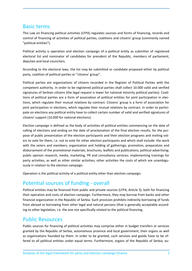### Basic terms

This Law on financing political activities (LFPA) regulates sources and forms of financing, records and control of financing of activities of political parties, coalitions and citizens' group (commonly named "political entities").

Political activity is operation and election campaign of a political entity as submitter of registered electoral list and nominator of candidates for president of the Republic, members of parliament, deputies and local councilors.

According to the electoral laws, the list may be submitted or candidate proposed either by political party, coalition of political parties or "citizens' group".

Political parties are organizations of citizens recorded in the Register of Political Parties with the competent authority. In order to be registered political parties shall collect 10.000 valid and verified signatures of Serbian citizens (the legal request is lower for national minority political parties). Coalitions of political parties are a form of association of political entities for joint participation in elections, which regulate their mutual relations by contract. Citizens' group is a form of association for joint participation in elections, which regulate their mutual relations by contract. In order to participate on elections any political entity have to collect certain number of valid and verified signatures of citizens' support (10.000 for national elections).

Election campaign is defined as the body of activities of political entities commencing on the date of calling of elections and ending on the date of proclamation of the final election results, for the purpose of public presentation of the election participants and their election programs and inviting voters to vote for them, i.e. not to vote for other election participants and which shall include: the work with the voters and members; organization and holding of gatherings; promotion, preparation and disbursement of the promotional materials, brochures, leaflets and publications; political advertising; public opinion research, media, marketing, PR and consultancy services; implementing trainings for party activities, as well as other similar activities; other activities the costs of which are unambiguously in relation to the election campaign.

Operation is the political activity of a political entity other than election campaign.

### Potential sources of funding - overall

Political entities may be financed from public and private sources (LFPA, Article 3), both for financing their operation and costs of election campaign. Furthermore, they may borrow from banks and other financial organization in the Republic of Serbia. Such provision prohibits indirectly borrowing of funds from abroad or borrowing from other legal and natural persons (that is generally acceptable according to other legislation, i.e. the one not specifically related to the political financing.

### Public Resources

Public sources for financing of political activities may comprise either in budget transfers or services granted by the Republic of Serbia, autonomous province and local government, their organs as well as organizations founded by them. In order to be granted, such services and goods have to be offered to all political entities under equal terms. Furthermore, organs of the Republic of Serbia, au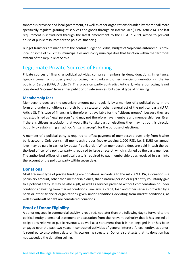tonomous province and local government, as well as other organizations founded by them shall more specifically regulate granting of services and goods through an internal act (LFPA, Article 6). The last requirement is introduced through the latest amendment to the LFPA in 2019, aimed to prevent abuse of public resources for the political financing.

Budget transfers are made from the central budget of Serbia, budget of Vojvodina autonomous province, or some of 170 cities, municipalities and in-city municipalities that function within the territorial system of the Republic of Serbia.

## Legitimate Private Sources of Funding

Private sources of financing political activities comprise membership dues, donations, inheritance, legacy income from property and borrowing from banks and other financial organizations in the Republic of Serbia (LFPA, Article 7). This provision partly contradict Article 3, where borrowing is not considered "income" from either public or private sources, but special type of financing.

#### **Membership fees**

Membership dues are the pecuniary amount paid regularly by a member of a political party in the form and under conditions set forth by the statute or other general act of the political party (LFPA, Article 8). This type of financing is therefore not available for the "citizens groups", because they are not established as "legal persons" and may not therefore have members and membership fees. Even if there is citizens association that would like to take part on elections they may not do this directly, but only by establishing an ad hoc "citizens' group", for the purpose of elections.

A member of a political party is required to effect payment of membership dues only from his/her bank account. Only very small membership dues (not exceeding 1,000 RSD, i.e. 8 EUR) on annual level may be paid in cash or by postal / bank order. When membership dues are paid in cash the authorised officer of a political party is required to issue a receipt, which is signed by the party member. The authorized officer of a political party is required to pay membership dues received in cash into the account of the political party within seven days.

#### **Donations**

Most frequent type of private funding are donations. According to the Article 9 LFPA, a donation is a pecuniary amount, other than membership dues, that a natural person or legal entity voluntarily give to a political entity. It may be also a gift, as well as services provided without compensation or under conditions deviating from market conditions. Similarly, a credit, loan and other services provided by a bank or other financial organizations given under conditions deviating from market conditions, as well as write-off of debt are considered donations.

#### **Proof of Donor Eligibility**

A donor engaged in commercial activity is required, not later than the following day to forward to the political entity a personal statement or attestation from the relevant authority that it has settled all obligations relative to public revenues, as well as a statement that it is not engaged in or has been engaged over the past two years in contracted activities of general interest. A legal entity, as donor, is required to also submit data on its ownership structure. Donor also attests that its donation has not exceeded the donation ceiling.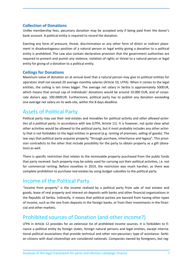#### **Collection of Donations**

Unlike membership fees, pecuniary donation may be accepted only if being paid from the donor's bank account. A political entity is required to record the donation.

Exerting any form of pressure, threat, discrimination or any other form of direct or indirect placement in disadvantageous position of a natural person or legal entity giving a donation to a political entity is prohibited. The Law also contain declarative provision that the government authorities are required to prevent and punish any violence, violation of rights or threat to a natural person or legal entity for giving of a donation to a political entity.

#### **Ceilings for Donations**

Maximum value of donation on at annual level that a natural person may give to political entities for operation shall not exceed 20 average monthly salaries (Article 10, LFPA). When it comes to the legal entities, the ceiling is ten times bigger. The average net salary in Serbia is approximately 500EUR, which means that annual cap of individuals' donations would be around 10.000 EUR, and of corporate donors app. 100.000EUR. Furthermore, political party has to publish any donation exceeding one average net salary on its web-site, within the 8 days deadline.

### Assets of Political Party

Political party may use their real estates and movables for political activity and *other allowed activities of a political party*, in accordance with law (LFPA, Article 11). It is however, not quite clear what other activities would be allowed to the political party, but it most probably includes any other activity that is not forbidden to the legal entities in general (e.g. renting of premises, selling of goods). The law says that political party acquires property "through purchase, inheritance and legacy". This provision contradicts to the other that include possibility for the party to obtain property as a gift (donation) as well.

There is specific restriction that relates to the immovable property purchased from the public funds that party received. Such property may be solely used for carrying out their political activities, i.e. not for commercial renting. Before novelties in 2014, the restriction was much harsher, as there was complete prohibition to purchase real estates by using budget subsidies to the political party.

### Income of the Political Party

"Income from property" is the income realized by a political party from sale of real estates and goods, lease of real property and interest on deposits with banks and other financial organizations in the Republic of Serbia. Indirectly, it means that political parties are banned from having other types of income, such as the one from deposits in the foreign banks, or from their investments in the financial and other markets.

### Prohibited sources of Donation (and other income?)

LFPA in Article 12 provides for an extensive list of prohibited income sources. It is forbidden to finance a political entity by foreign states, foreign natural persons and legal entities, except international political associations that provide technical and other non-pecuniary type of assistance. Serbian citizens with dual citizenships are considered nationals. Companies owned by foreigners, but reg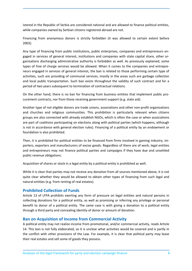istered in the Republic of Serbia are considered national and are allowed to finance political entities, while companies owned by Serbian citizens registered abroad are not.

Financing from anonymous donors is strictly forbidden (it was allowed to certain extent before 2003).

Any type of financing from public institutions, public enterprises, companies and entrepreneurs engaged in services of general interest, institutions and companies with state capital share, other organizations discharging administrative authority is forbidden as well. As previously explained, some types of free of charge services would be allowed. When it comes to the companies and entrepreneurs engaged in services of general interest, the ban is related to those performing certain type of activities, such are providing of communal services, mostly in the areas such are garbage collection and local public transportation. Such ban exists throughout the validity of such contract and for a period of two years subsequent to termination of contractual relations.

On the other hand, there is no ban for financing from business entities that implement public procurement contracts, nor from those receiving government support (e.g. state aid).

Another type of not eligible donors are trade unions, associations and other non-profit organizations and churches and religious communities. This prohibition is particularly relevant when citizens groups are also connected with already establish NGOs, which is often the case or when associations are part of coalitions participating on elections along with political parties (which happens, although is not in accordance with general election rules). Financing of a political entity by an endowment or foundation is also prohibited.

Then, it is prohibited for political entities to be financed from firms involved in gaming industry, importers, exporters and manufacturers of excise goods. Regardless of there are of work, legal entities and entrepreneurs may not finance political parties and campaigns if they have due and unsettled public revenue obligations.

Acquisition of shares or stock in a legal entity by a political entity is prohibited as well.

While it is clear that parties may not receive any donation from all sources mentioned above, it is not quite clear whether they would be allowed to obtain other types of financing from such legal and natural entities (e.g. from renting of real estates).

#### **Prohibited Collection of Funds**

Article 13 of LFPA prohibits exerting any form of pressure on legal entities and natural persons in collecting donations for a political entity, as well as promising or inferring any privilege or personal benefit to donor of a political entity. The same case is with giving a donation to a political entity through a third party and concealing identity of donor or amount of donation.

#### **Ban on Acquisition of Income from Commercial Activity**

A political entity may not realize income from promotional, and/or commercial activity, reads Article 14. This ban is not fully elaborated, so it is unclear what activities would be covered and is partly in the conflict with other provisions of the Law. For example, it is clear that political party may lease their real estates and sell some of goods they possess.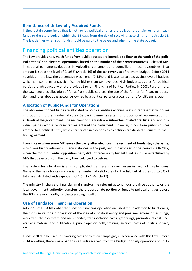#### **Remittance of Unlawfully Acquired Funds**

If they obtain some funds that is not lawful, political entities are obliged to transfer or return such funds to the state budget within the 15 days from the day of receiving, according to the Article 15. The law defines when such funds should be paid to the payee and when to the state budget.

### Financing political entities operation

The Law provides how much funds from public sources are intended to **finance the work of the political entities' non-electoral operations, based on the number of their representatives** – elected MPs in national parliament, deputies in Vojvodina parliament and councillors in local assemblies. That amount is set at the level of 0.105% (Article 16) of the **tax revenues** of relevant budget. Before 2014 novelties in the law, the percentage was higher (0.15%) and it was calculated against overall budget, which is in some instances significantly higher than tax revenues. High budget subsidies for political parties are introduced with the previous Law on Financing of Political Parties, in 2003. Furthermore, the Law regulates allocation of funds from public sources, the use of the former for financing operation, and rules about the account/s owned by a political party or a coalition and/or citizens' group.

#### **Allocation of Public Funds for Operations**

The above-mentioned funds are allocated to political entities winning seats in representative bodies in proportion to the number of votes. Serbia implements system of proportional representation on all levels of the government. The recipient of the funds are **submitters of electoral lists**, and not individual parties whose representatives entered the parliament. However, funds from public sources granted to a political entity which participate in elections as a coalition are divided pursuant to coalition agreement.

Even **in case when some MP leaves the party after elections, the recipient of funds stays the same**, which was highly relevant in many instances in the past, and in particular in the period 2008-2012, when the most influential opposition party did not receive any budget fund, as it was established by MPs that defected from the party they belonged to before.

The system for allocation is a bit complicated, as there is a mechanism in favor of smaller ones. Namely, the basis for calculation is the number of valid votes for the list, but all votes up to 5% of total are calculated with a quotient of 1.5 (LFPA, Article 17).

The ministry in charge of financial affairs and/or the relevant autonomous province authority or the local government authority, transfers the proportionate portion of funds to political entities before the 10th of every month, for the preceding month.

#### **Use of Funds for Financing Operation**

Article 19 of LFPA lists what the funds for financing operation are used for. In addition to functioning, the funds serve for a propagation of the idea of a political entity and presume, among other things, work with the electorate and membership, transportation costs, gatherings, promotional costs, advertising material and publications, public opinion polls, training, salaries, costs of utilities service, etc.

Funds shall also be used for covering costs of election campaigns, in accordance with this Law. Before 2014 novelties, there was a ban to use funds received from the budget for daily operations of politi-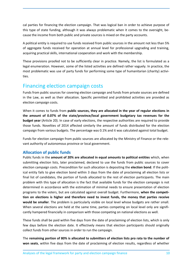cal parties for financing the election campaign. That was logical ban in order to achieve purpose of this type of state funding, although it was always problematic when it comes to the oversight, because the income from both public and private sources is mixed on the party accounts.

A political entity is required to use funds received from public sources in the amount not less than 5% of aggregate funds received for operation at annual level for professional upgrading and training, acquiring practical skills, international cooperation and work with the membership.

These provisions proofed not to be sufficiently clear in practice. Namely, the list is formulated as a legal enumeration. However, some of the listed activities are defined rather vaguely. In practice, the most problematic was use of party funds for performing some type of humanitarian (charity) activities.

### Financing election campaign costs

Funds from public sources for covering election campaign and funds from private sources are defined in the Law, as well as their allocation. Specific permitted and prohibited activities are provided as election campaign costs.

When it comes to funds from **public sources, they are allocated in the year of regular elections in the amount of 0.07% of the state/province/local government budgetary tax revenues for the budget year** (Article 20). In case of early elections, the respective authorities are required to provide those funds. Novelties of 2014 affected similarly the amount of funds distributed for the election campaign from various budgets. The percentage was 0.1% and it was calculated against total budget.

Funds for election campaign from public sources are allocated by the Ministry of Finance or the relevant authority of autonomous province or local government.

#### **Allocation of public funds**

Public funds in the **amount of 20% are allocated in equal amounts to political entities** which, when submitting election lists, later proclaimed, declared to use the funds from public sources to cover election campaign costs. Precondition for such allocation is depositing the **election bond**. If the political entity fails to give election bond within 3 days from the date of proclaiming all election lists or final list of candidates, the portion of funds allocated to the rest of election participants. The main problem with this type of allocation is the fact that available funds for the election campaign is not determined in accordance with the estimation of minimal needs to ensure presentation of election programs to the voters, but are calculated against overall budget. Furthermore, **when the competition on elections is higher and therefore need to invest funds, the money that parties receive would be smaller**. The problem is particularly visible on local level whose budgets are rather small. When several elections are held at the same time, parties competing on local level only are significantly hampered financially in comparison with those competing on national elections as well.

These funds shall be paid within five days from the date of proclaiming of election lists, which is only few days before the election date. It effectively means that election participants should originally collect funds from other sources in order to run the campaign.

The **remaining portion of 80% is allocated to submitters of election lists pro rata to the number of won seats**, within five days from the date of proclaiming of election results, regardless of whether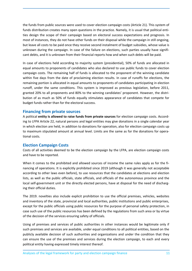the funds from public sources were used to cover election campaign costs (Article 21). This system of funds distribution creates many open questions in the practice. Namely, it is usual that political entities design the scope of their campaign based on electoral success expectations and prognosis. In most of instances, they do not have other funds on their disposal while the campaign in still ongoing, but leave all costs to be paid once they receive second instalment of budget subsidies, whose value is unknown during the campaign. In case of the failure on elections, such parties usually have significant debts, and it is unknown from their financial reports how and when such debts will be paid.

In case of elections held according to majority system (presidential), 50% of funds are allocated in equal amounts to proponents of candidates who also declared to use public funds to cover election campaign costs. The remaining half of funds is allocated to the proponent of the winning candidate within five days from the date of proclaiming election results. In case of runoffs for elections, the remaining portion is allocated in equal amounts to proponents of candidates participating in election runoff, under the same conditions. This system is improved as previous legislation, before 2011, granted 20% to all proponents and 80% to the winning candidates' proponent. However, the distribution of as much as 50% of funds equally stimulates appearance of candidates that compete for budget funds rather than for the electoral success.

#### **Financing from private sources**

A political **entity is allowed to raise funds from private sources** for election campaign costs. According to LFPA Article 22, natural persons and legal entities may give donations in a single calendar year in which election are held, in addition to donations for operation, also for election campaign costs up to maximum stipulated amount at annual level. Limits are the same as for the donations for operational costs.

#### **Election Campaign Costs**

Costs of all activities deemed to be the election campaign by the LFPA, are election campaign costs and have to be reported.

When it comes to the prohibited and allowed sources of income the same rules apply as for the financing of operations. It is explicitly prohibited since 2019 (although it was generally not acceptable according to other laws even before), to use resources that the candidates at elections and election lists, as well as the public officials, state officials, and officials of the autonomous province and the local self-government unit or the directly elected persons, have at disposal for the need of discharging their official duties.

The 2019. novelties also include explicit prohibition to use the official premises, vehicles, websites and inventory of the state, provincial and local authorities, public institutions and public enterprises, except for the public officials using public resources for the purpose of personal safety protection, in case such use of the public resources has been defined by the regulations from such area or by virtue of the decision of the services ensuring safety of officials.

Using of premises and services of public authorities in other instances would be legitimate only if such premises and services are available, under equal conditions to all political entities, based on the publicly available decision of such authorities and organizations and under the condition that they can ensure the use of the premises and services during the election campaign, to each and every political entity having expressed timely interest thereof.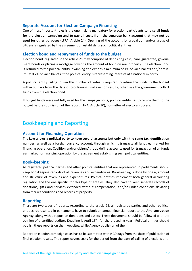#### **Separate Account for Election Campaign Financing**

One of most important rules is the one making mandatory for election participants to **raise all funds for the election campaign and to pay all costs from the separate bank account that may not be used for other purposes** (LFPA, Article 24). Opening of the account for a coalition and/or group of citizens is regulated by the agreement on establishing such political entities.

#### **Election bond and repayment of funds to the budget**

Election bond, regulated in the article 25 may comprise of depositing cash, bank guarantee, government bonds or placing a mortgage covering the amount of bond on real property. The election bond is returned to the political entity if winning at elections a minimum of 1% of valid ballots and/or minimum 0.2% of valid ballots if the political entity is representing interests of a national minority.

A political entity failing to win this number of votes is required to return the funds to the budget within 30 days from the date of proclaiming final election results, otherwise the government collect funds from the election bond.

If budget funds were not fully used for the campaign costs, political entity has to return them to the budget before submission of the report (LFPA, Article 30), no matter of electoral success.

# Bookkeeping and Reporting

#### **Account for Financing Operation**

The **Law allows a political party to have several accounts but only with the same tax identification number**, as well as a foreign currency account, through which it transacts all funds earmarked for financing operation. Coalition and/or citizens' group define accounts used for transaction of all funds earmarked for financing operation by the agreement establishing such political entities.

#### **Book-keeping**

All registered political parties and other political entities that are represented in parliaments should keep bookkeeping records of all revenues and expenditures. Bookkeeping is done by origin, amount and structure of revenues and expenditures. Political entities implement both general accounting regulation and the one specific for this type of entities. They also have to keep separate records of donations, gifts and services extended without compensation, and/or under conditions deviating from market conditions and records of property.

#### **Reporting**

There are two types of reports. According to the article 28, all registered parties and other political entities represented in parliaments have to submit an annual financial report to the **Anti-corruption Agency**, along with a report on donations and assets. These documents should be followed with the opinion of a certified auditor. Deadline is April 15<sup>th</sup> (for the preceding year). Political entities should publish these reports on their websites, while Agency publish all of them.

Report on election campaign costs has to be submitted within 30 days from the date of publication of final election results. The report covers costs for the period from the date of calling of elections until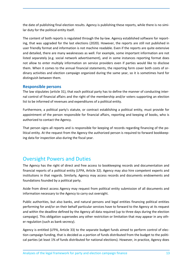the date of publishing final election results. Agency is publishing these reports, while there is no similar duty for the political entity itself.

The content of both reports is regulated through the by-law. Agency established software for reporting, that was upgraded for the last elections (2020). However, the reports are still not published in user friendly format and information is not machine readable. Even if the reports are quite extensive and detailed, there are many weaknesses as well. For example, some important information are not listed separately (e.g. social network advertisement), and in some instances reporting format does not allow to enter multiply information on service providers even if parties would like to disclose them. When it comes to the annual financial statements, the reporting form cover both costs of ordinary activities and election campaign organized during the same year, so it is sometimes hard for distinguish between them.

#### **Responsible persons**

The law stipulates (article 31), that each political party has to define the manner of conducting internal control of financial affairs and the right of the membership and/or voters supporting an election list to be informed of revenues and expenditures of a political entity.

Furthermore, a political party's statute, or contract establishing a political entity, must provide for appointment of the person responsible for financial affairs, reporting and keeping of books, who is authorized to contact the Agency.

That person signs all reports and is responsible for keeping of records regarding financing of the political entity. At the request from the Agency the authorized person is required to forward bookkeeping data for inspection also during the fiscal year.

### Oversight Powers and Duties

The Agency has the right of direct and free access to bookkeeping records and documentation and financial reports of a political entity (LFPA, Article 32). Agency may also hire competent experts and institutions in that regards. Similarly, Agency may access records and documents endowments and foundations founded by a political party.

Aside from direct access Agency may request from political entity submission of all documents and information necessary to the Agency to carry out oversight.

Public authorities, but also banks, and natural persons and legal entities financing political entities performing for and/or on their behalf particular services have to forward to the Agency at its request and within the deadline defined by the Agency all data required (up to three days during the election campaign). This obligation supersedes any other restriction or limitation that may appear in any other regulation (such as bank secrecy).

Agency is entitled (LFPA, Article 33) to the separate budget funds aimed to perform control of election campaign funding, that is decided as a portion of funds distributed from the budget to the political parties (at least 1% of funds distributed for national elections). However, in practice, Agency does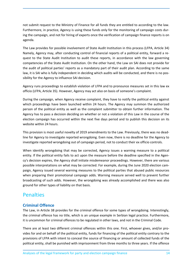not submit request to the Ministry of Finance for all funds they are entitled to according to the law. Furthermore, in practice, Agency is using these funds only for the monitoring of campaign costs during the campaign, and not for hiring of experts once the verification of campaign finance reports is on agenda.

The Law provides for possible involvement of State Audit Institution in this process (LFPA, Article 34) Namely, Agency may, after conducting control of financial reports of a political entity, forward a request to the State Audit Institution to audit these reports, in accordance with the law governing competencies of the State Audit Institution. On the other hand, the Law on SAI does not provide for the audit of political parties' reports as a mandatory part of their audit plan. According to the same law, it is SAI who is fully independent in deciding which audits will be conducted, and there is no possibility for the Agency to influence SAI decision.

Agency runs proceedings to establish violation of LFPA and to pronounce measures set in this law ex officio (LFPA, Article 35). However, Agency may act also on basis of someone's complaint.

During the campaign, when Agency receive complaint, they have to notify the political entity against which proceedings have been launched within 24 hours. The Agency may summon the authorized person of the political entity as well as the complaint submitter to obtain further information. The Agency has to pass a decision deciding on whether or not a violation of this Law in the course of the election campaign has occurred within the next five days period and to publish this decision on its website within 24 hours.

This provision is most useful novelty of 2019 amendments to the Law. Previously, there was no deadline for Agency to investigate reported wrongdoing. Even now, there is no deadline for the Agency to investigate reported wrongdoing out of campaign period, not to conduct their ex officio controls.

When identify wrongdoing that may be corrected, Agency issues a warning measure to a political entity. If the political entity fails to act upon the measure before the deadline specified in the Agency's decision expires, the Agency shall initiate misdemeanor proceedings. However, there are various possible interpretations on what may be corrected. For example, during the June 2020 election campaign, Agency issued several warning measures to the political parties that abused public resources when preparing their promotional campaign adds. Warning measure served well to prevent further broadcasting of such adds. However, the wrongdoing was already accomplished and there was also ground for other types of liability on that basis.

### **Penalties**

#### **Criminal Offence**

The Law, in Article 38 provides for the criminal offence for some types of wrongdoing. Interestingly, the criminal offence has no title, which is an unique example in Serbian legal practice. Furthermore, it is uncommon for criminal offences to be regulated in other laws, and not in the Criminal Code.

There are at least two different criminal offences within this one. First, whoever gives, and/or provides for and on behalf of the political entity, funds for financing of the political entity contrary to the provisions of LFPA with intent to conceal the source of financing or amount of collected funds of the political entity, shall be punished with imprisonment from three months to three years. If the offence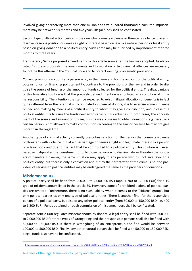involved giving or receiving more than one million and five hundred thousand dinars, the imprisonment may be between six months and five years. Illegal funds shall be confiscated.

Second type of illegal action performs the one who commits violence or threatens violence, places in disadvantageous position or denies a right or interest based on law to a natural person or legal entity based on giving donation to a political entity. Such crime may be punished by imprisonment of three months to three years.

Transparency Serbia proposed amendments to this article soon after the law was adopted. As elaborated $^{11}$  in these proposals, the amendments and formulation of two criminal offences are necessary to include this offense in the Criminal Code and to correct existing problematic provisions.

Current provision sanctions any person who, in the name and for the account of the political entity, obtains funds for financing political entity, contrary to the provisions of the law and in order to disguise the source of funding or the amount of funds collected for the political entity. The disadvantage of this legislative solution is that the precisely defined intention is stipulated as a condition of criminal responsibility. The intention that can be expected to exist in illegal allocation of benefits is in fact quite different from the one that is incriminated - in case of donors, it is to exercise some influence on decision-making by means of a political entity to whom they give a contribution, and in case of a political entity, it is to raise the funds needed to carry out his activities. In both cases, the concealment of the source and amount of funding is just a way or means to obtain donations (e.g. because a certain person is not allowed to make contributions according to the Law or because he may not give more than the legal limit).

Another type of criminal activity currently prescribes sanction for the person that commits violence or threatens with violence, put at a disadvantage or denies a right and legitimate interest to a person or a legal body and due to the fact that he contributed to a political entity. This solution is flawed because it stipulates the punishment of only those persons who discriminate or threaten the suppliers of benefits. However, the same situation may apply to any person who did not give favor to a political entity, but there is only a conviction about it by the perpetrator of the crime. Also, the providers of services to political entities may be endangered the same as the providers of donations.

#### **Misdemeanours**

A political party shall be fined from 200,000 to 2,000,000 RSD (app. 1.700 to 17.000 EUR) for a 19 type of misdemeanours listed in the article 39. However, some of prohibited actions of political parties are omitted. Furthermore, there is no such liability when it comes to the "citizens' group", but only political parties as only one type of political entities. There is another fine, for the responsible person of a political party, but also of any other political entity (from 50,000 to 150,000 RSD, i.e. 400 to 1.200 EUR). Funds obtained through commission of misdemeanours shall be confiscated.

Separate Article (40) regulates misdemeanours by donors. A legal entity shall be fined with 200,000 to 2,000,000 RSD for three types of wrongdoing and their responsible persons shall also be fined with 50,000 to 150,000 RSD. If there is wrongdoing of an entrepreneur, the fine would be between 100,000 to 500,000 RSD. Finally, any other natural person shall be fined with 50,000 to 150,000 RSD. Illegal funds also have to be confiscated.

<sup>11</sup> https://www.transparentnost.org.rs/images/stories/How%20to%20Fight%20Corruption%20-%20December%202014.pdf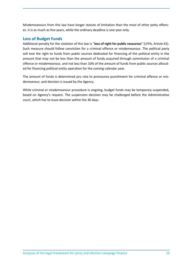Misdemeanours from this law have longer statute of limitation than the most of other petty offences. It is as much as five years, while the ordinary deadline is one year only.

#### **Loss of Budget Funds**

Additional penalty for the violation of this law is "**loss of right for public resources**" (LFPA, Article 42). Such measure should follow conviction for a criminal offence or misdemeanour. The political party will lose the right to funds from public sources dedicated for financing of the political entity in the amount that may not be less than the amount of funds acquired through commission of a criminal offence or misdemeanour, and not less than 10% of the amount of funds from public sources allocated for financing political entity operation for the coming calendar year.

The amount of funds is determined pro rata to pronounce punishment for criminal offence or misdemeanour, and decision is issued by the Agency.

While criminal or misdemeanour procedure is ongoing, budget funds may be temporary suspended, based on Agency's request. The suspension decision may be challenged before the Administrative court, which has to issue decision within the 30 days.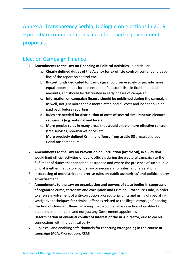Annex A: Transparency Serbia, Dialogue on elections in 2019 – priority recommendations not addressed in government proposals

# Election Campaign Finance

- 1. **Amendments to the Law on Financing of Political Activities**, in particular:
	- a. **Clearly defined duties of the Agency for ex officio control,** content and deadline of the report on control etc.
	- b. **Budget funds dedicated for campaign** should serve solely to provide more equal opportunities for presentation of electoral lists in fixed and equal amounts, and should be distributed in early phases of campaign;
	- c. **Information on campaign finance should be published during the campaign as well,** not just more than a month after, and all costs and loans should be paid back before reporting
	- d. **Rules are needed for distribution of costs of several simultaneous electoral campaigns (e.g. national and local)**
	- e. **More precise rules in many areas that would enable more effective control**  (free services, non-market prices etc)
	- f. **More precisely defined Criminal offence from article 38** , regulating additional misdemenours
- 2. **Amendments to the Law on Prevention on Corruption (article 50),** in a way that would limit official activities of public officials during the electoral campaign to the fulfilment of duties that cannot be postponed and where the presence of such public official is either mandatory by the law or necessary for international relations
- 3. **Introducing of more strict and precise rules on public authorities' and political party advertisement**
- 4. **Amendments to the Law on organization and powers of state bodies in suppression of organized crime, terrorism and corruption and Criminal Procedure Code,** in order to ensure involvement of anti-corruption prosecutorial units and using of special investigative techniques for criminal offences related to the illegal campaign financing
- 5. **Election of Oversight Board, in a way** that would enable selection of qualified and independent members, and not just any Government appointees
- 6. **Determination of eventual conflict of interest of the ACA director,** due to earlier connections with the political party
- 7. **Public call and enabling safe channels for reporting wrongdoing in the course of campaign (ACA, Prosecution, REM)**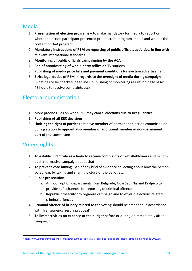### Media

- 1. **Presentation of election programs**  to make mandatory for media to report on whether election participant presented pre-electoral program and all and what is the content of that program
- 2. **Mandatory instructions of REM on reporting of public officials activities, in line with**  relevant international standards
- 3. **Monitoring of public officials campaigning by the ACA**
- 4. **Ban of broadcasting of whole party rellies on** TV stations
- 5. **Publishing of media price lists and payment conditions** for election advertisement
- 6. **Strict legal duties of REM in regards to the oversight of media during campaign**  (what has to be checked, deadlines, publishing of monitoring results on daily bases, 48 hours to resolve complaints etc)

# Electoral administration

- **1.** More precise rules on **when REC may cancel elections due to irregularities**
- **2. Publishing of all REC decisions**
- **3. Limiting the right of parties** that have member of permanent election committee on polling station **to appoint also member of additional member in non-permanent part of the committee**

### Voters rights

- **1. To establish REC role as a body to receive complaints of whistleblowers** and to conduct informative campaign about that
- 2. **To prevent vote buying**: Ban of any kind of evidence collecting about how the person voted, e.g. by taking and sharing picture of the ballot etc.)
- 3. **Public prosecution**:
	- a. Anti-corruption departments from Belgrade, Novi Sad, Nis and Kraljevo to provide safe channels for reporting of criminal offences
	- b. Republic prosecutor to organize campaign and to explain elections related criminal offences
- 4. **Criminal offence of bribery related to the voting** should be amended in accordance with Transparency Serbia proposal $^{12}$
- 5. **To limit activities on expense of the budget** before or during or immediately after campaign

<sup>&</sup>lt;sup>12</sup>http://www.transparentnost.org.rs/images/dokumenti\_uz\_vesti/TS\_prilog\_za\_okrugli\_sto\_zastita\_birackog\_prava\_sept\_2019.pdf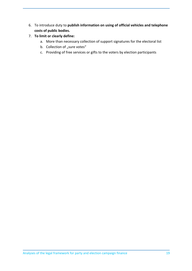- 6. To introduce duty to **publish information on using of official vehicles and telephone costs of public bodies.**
- 7. **To limit or clearly define:**
	- a. More than necessary collection of support signatures for the electoral list
	- b. Collection of "sure votes"
	- c. Providing of free services or gifts to the voters by election participants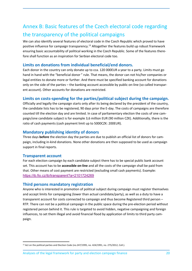# Annex B: Basic features of the Czech electoral code regarding the transparency of the political campaigns

We can also identify several features of electoral code in the Czech Republic which proved to have positive influence for campaign transparency.<sup>13</sup> Altogether the features build up robust framework ensuring basic accountability of political working in the Czech Republic. Some of the features therefore shall function as an inspiration for Serbian electoral code too.

#### **Limits on donations from individual beneficial/end donors.**

Each donor in the country can only donate up to cca. 120 000EUR a year to a party. Limits must go hand in hand with the "beneficial donor " rule. That means, the donor can not his/her companies or legal entities to donate more or further. And there must be specified banking account for donations only on the side of the parties – the banking account accessible by public on-line (so called transparent account). Other accounts for donations are restricted.

#### **Limits on costs-spending for the parties/political subject during the campaign.**

Officially and legally the campaign starts only after its being declared by the president of the country, the candidate lists has to be registered, 90 days prior the E-day. The costs of campaigns are therefore counted till the election day and are limited. In case of parliamentary election the costs of one campaign/one candidate subject is for example 3,6 million EUR (90 million CZK). Additionally, there is the ratio of cash payments (cash payment limit up to 5000CZK: 200EUR).

#### **Mandatory publishing identity of donors**

Three days **before** the election day the parties are due to publish an official list of donors for campaign, including in-kind donations. None other donations are then supposed to be used as campaign support in final reports.

#### **Transparent account**

For each election campaign by each candidate subject there has to be special public bank account set. This account has to be **accessible on-line** and all the costs of the campaign shall be paid from that. Other means of cost payment are restricted (excluding small cash payments). Example: https://ib.fio.cz/ib/transparent?a=2101724269

#### **Third persons mandatory registration**

Anyone who is interested in promotion of political subject during campaign must register themselves and accept limits for campaigning (lower than actual candidate/party), as well as a duty to have a transparent account for costs connected to campaign and thus become Registered third person – RTP. There can not be a political campaign in the public space during the pre-election period without registered person behind it. This rule is targeted to avoid hidden, negative campaigning and foreign influences, to set them illegal and avoid financial flood by application of limits to third party campaign.

<sup>&</sup>lt;sup>13</sup> Act on the political parties and Election Code (no.247/1995, no. 424/1991, no. 275/2012, Coll.).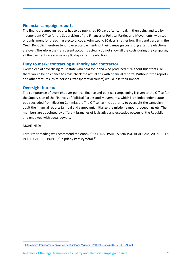#### **Financial campaign reports**

The financial campaign reports has to be published 90 days after campaign, then being audited by independent Office for the Supervision of the Finances of Political Parties and Movements, with set of punishment for breaching electoral code. Admittedly, 90 days is rather long limit and parties in the Czech Republic therefore tend to execute payments of their campaign costs long after the elections are over. Therefore the transparent accounts actually do not show all the costs during the campaign, all the payments are visible only 90 days after the election.

#### **Duty to mark: contracting authority and contractor**

Every piece of advertising must state who paid for it and who produced it. Without this strict rule there would be no chance to cross-check the actual ads with financial reports. Without it the reports and other features (third persons, transparent accounts) would lose their impact.

#### **Oversight bureau**

The competence of oversight over political finance and political campaigning is given to the Office for the Supervision of the Finances of Political Parties and Movements, which is an independent state body secluded from Election Commission. The Office has the authority to oversight the campaign, audit the financial reports (annual and campaign), initialize the misdemeanour proceedings etc. The members are appointed by different branches of legislative and executive powers of the Republic and endowed with equal powers.

MORE INFO:

For further reading we recommend the eBook "POLITICAL PARTIES AND POLITICAL CAMPAIGN RULES IN THE CZECH REPUBLIC," in pdf by Petr Vymětal.<sup>14</sup>

<sup>14</sup> https://www.transparency.cz/wp-content/uploads/Vymetal\_PoliticalFinancingCZ\_212FINAL.pdf